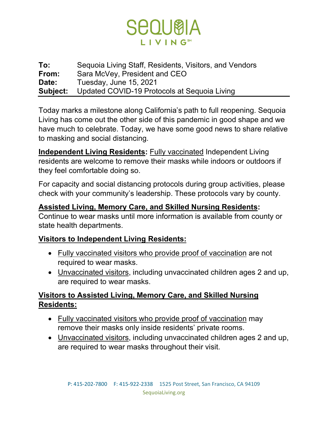

**To:** Sequoia Living Staff, Residents, Visitors, and Vendors **From:** Sara McVey, President and CEO **Date:** Tuesday, June 15, 2021 **Subject:** Updated COVID-19 Protocols at Sequoia Living

Today marks a milestone along California's path to full reopening. Sequoia Living has come out the other side of this pandemic in good shape and we have much to celebrate. Today, we have some good news to share relative to masking and social distancing.

**Independent Living Residents:** Fully vaccinated Independent Living residents are welcome to remove their masks while indoors or outdoors if they feel comfortable doing so.

For capacity and social distancing protocols during group activities, please check with your community's leadership. These protocols vary by county.

## **Assisted Living, Memory Care, and Skilled Nursing Residents:**

Continue to wear masks until more information is available from county or state health departments.

## **Visitors to Independent Living Residents:**

- Fully vaccinated visitors who provide proof of vaccination are not required to wear masks.
- Unvaccinated visitors, including unvaccinated children ages 2 and up, are required to wear masks.

## **Visitors to Assisted Living, Memory Care, and Skilled Nursing Residents:**

- Fully vaccinated visitors who provide proof of vaccination may remove their masks only inside residents' private rooms.
- Unvaccinated visitors, including unvaccinated children ages 2 and up, are required to wear masks throughout their visit.